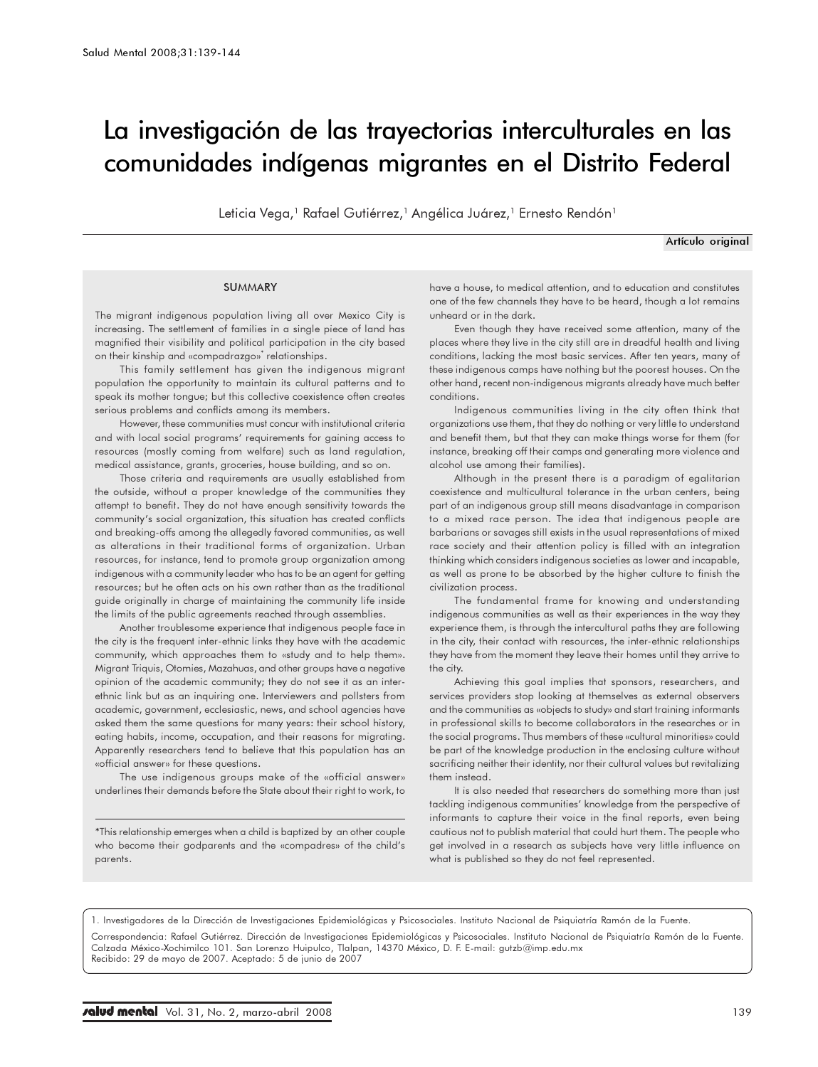# La investigación de las trayectorias interculturales en las comunidades indígenas migrantes en el Distrito Federal

Leticia Vega,<sup>1</sup> Rafael Gutiérrez,<sup>1</sup> Angélica Juárez,<sup>1</sup> Ernesto Rendón<sup>1</sup>

Artículo original

#### SUMMARY

The migrant indigenous population living all over Mexico City is increasing. The settlement of families in a single piece of land has magnified their visibility and political participation in the city based on their kinship and «compadrazgo»\* relationships.

This family settlement has given the indigenous migrant population the opportunity to maintain its cultural patterns and to speak its mother tongue; but this collective coexistence often creates serious problems and conflicts among its members.

However, these communities must concur with institutional criteria and with local social programs' requirements for gaining access to resources (mostly coming from welfare) such as land regulation, medical assistance, grants, groceries, house building, and so on.

Those criteria and requirements are usually established from the outside, without a proper knowledge of the communities they attempt to benefit. They do not have enough sensitivity towards the community's social organization, this situation has created conflicts and breaking-offs among the allegedly favored communities, as well as alterations in their traditional forms of organization. Urban resources, for instance, tend to promote group organization among indigenous with a community leader who has to be an agent for getting resources; but he often acts on his own rather than as the traditional guide originally in charge of maintaining the community life inside the limits of the public agreements reached through assemblies.

Another troublesome experience that indigenous people face in the city is the frequent inter-ethnic links they have with the academic community, which approaches them to «study and to help them». Migrant Triquis, Otomies, Mazahuas, and other groups have a negative opinion of the academic community; they do not see it as an interethnic link but as an inquiring one. Interviewers and pollsters from academic, government, ecclesiastic, news, and school agencies have asked them the same questions for many years: their school history, eating habits, income, occupation, and their reasons for migrating. Apparently researchers tend to believe that this population has an «official answer» for these questions.

The use indigenous groups make of the «official answer» underlines their demands before the State about their right to work, to

\*This relationship emerges when a child is baptized by an other couple who become their godparents and the «compadres» of the child's parents.

have a house, to medical attention, and to education and constitutes one of the few channels they have to be heard, though a lot remains unheard or in the dark.

Even though they have received some attention, many of the places where they live in the city still are in dreadful health and living conditions, lacking the most basic services. After ten years, many of these indigenous camps have nothing but the poorest houses. On the other hand, recent non-indigenous migrants already have much better conditions.

Indigenous communities living in the city often think that organizations use them, that they do nothing or very little to understand and benefit them, but that they can make things worse for them (for instance, breaking off their camps and generating more violence and alcohol use among their families).

Although in the present there is a paradigm of egalitarian coexistence and multicultural tolerance in the urban centers, being part of an indigenous group still means disadvantage in comparison to a mixed race person. The idea that indigenous people are barbarians or savages still exists in the usual representations of mixed race society and their attention policy is filled with an integration thinking which considers indigenous societies as lower and incapable, as well as prone to be absorbed by the higher culture to finish the civilization process.

The fundamental frame for knowing and understanding indigenous communities as well as their experiences in the way they experience them, is through the intercultural paths they are following in the city, their contact with resources, the inter-ethnic relationships they have from the moment they leave their homes until they arrive to the city.

Achieving this goal implies that sponsors, researchers, and services providers stop looking at themselves as external observers and the communities as «objects to study» and start training informants in professional skills to become collaborators in the researches or in the social programs. Thus members of these «cultural minorities» could be part of the knowledge production in the enclosing culture without sacrificing neither their identity, nor their cultural values but revitalizing them instead.

It is also needed that researchers do something more than just tackling indigenous communities' knowledge from the perspective of informants to capture their voice in the final reports, even being cautious not to publish material that could hurt them. The people who get involved in a research as subjects have very little influence on what is published so they do not feel represented.

1. Investigadores de la Dirección de Investigaciones Epidemiológicas y Psicosociales. Instituto Nacional de Psiquiatría Ramón de la Fuente.

Correspondencia: Rafael Gutiérrez. Dirección de Investigaciones Epidemiológicas y Psicosociales. Instituto Nacional de Psiquiatría Ramón de la Fuente.<br>Calzada México-Xochimilco 101. San Lorenzo Huipulco, Tlalpan, 14370 Méx Recibido: 29 de mayo de 2007. Aceptado: 5 de junio de 2007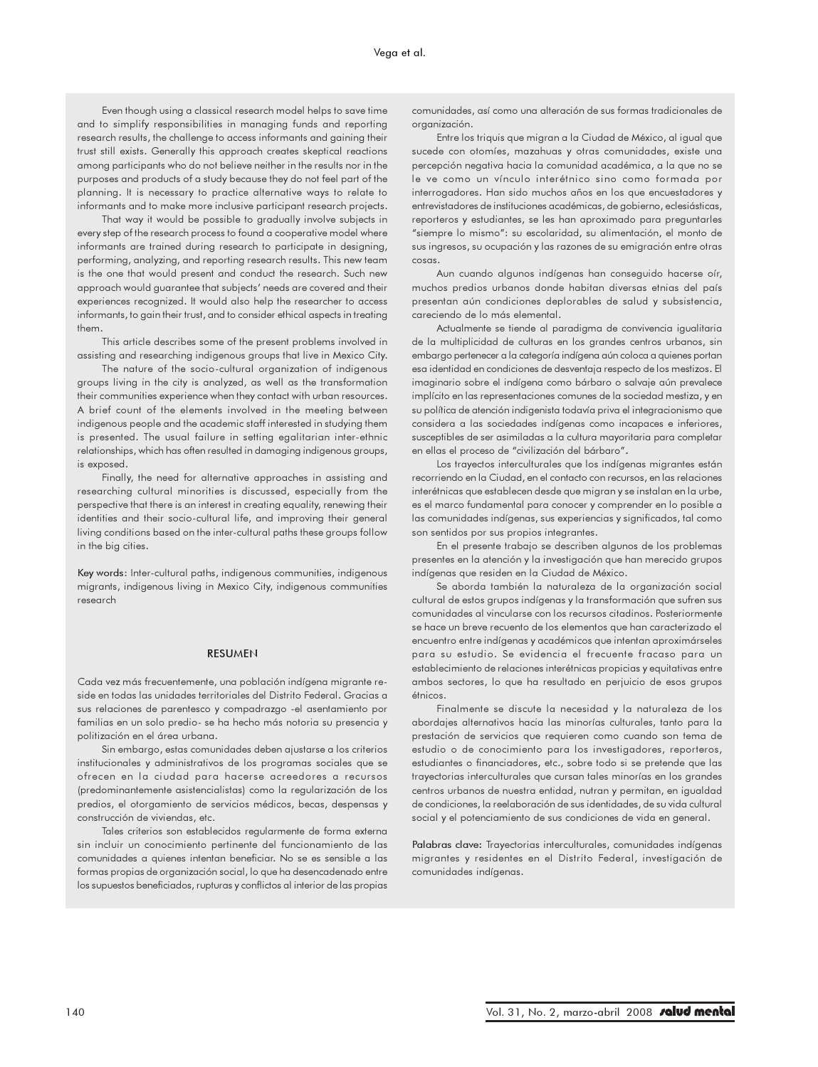Even though using a classical research model helps to save time and to simplify responsibilities in managing funds and reporting research results, the challenge to access informants and gaining their trust still exists. Generally this approach creates skeptical reactions among participants who do not believe neither in the results nor in the purposes and products of a study because they do not feel part of the planning. It is necessary to practice alternative ways to relate to informants and to make more inclusive participant research projects.

That way it would be possible to gradually involve subjects in every step of the research process to found a cooperative model where informants are trained during research to participate in designing, performing, analyzing, and reporting research results. This new team is the one that would present and conduct the research. Such new approach would guarantee that subjects' needs are covered and their experiences recognized. It would also help the researcher to access informants, to gain their trust, and to consider ethical aspects in treating them.

This article describes some of the present problems involved in assisting and researching indigenous groups that live in Mexico City.

The nature of the socio-cultural organization of indigenous groups living in the city is analyzed, as well as the transformation their communities experience when they contact with urban resources. A brief count of the elements involved in the meeting between indigenous people and the academic staff interested in studying them is presented. The usual failure in setting egalitarian inter-ethnic relationships, which has often resulted in damaging indigenous groups, is exposed.

Finally, the need for alternative approaches in assisting and researching cultural minorities is discussed, especially from the perspective that there is an interest in creating equality, renewing their identities and their socio-cultural life, and improving their general living conditions based on the inter-cultural paths these groups follow in the big cities.

Key words: Inter-cultural paths, indigenous communities, indigenous migrants, indigenous living in Mexico City, indigenous communities research

### RESUMEN

Cada vez más frecuentemente, una población indígena migrante reside en todas las unidades territoriales del Distrito Federal. Gracias a sus relaciones de parentesco y compadrazgo -el asentamiento por familias en un solo predio- se ha hecho más notoria su presencia y politización en el área urbana.

Sin embargo, estas comunidades deben ajustarse a los criterios institucionales y administrativos de los programas sociales que se ofrecen en la ciudad para hacerse acreedores a recursos (predominantemente asistencialistas) como la regularización de los predios, el otorgamiento de servicios médicos, becas, despensas y construcción de viviendas, etc.

Tales criterios son establecidos regularmente de forma externa sin incluir un conocimiento pertinente del funcionamiento de las comunidades a quienes intentan beneficiar. No se es sensible a las formas propias de organización social, lo que ha desencadenado entre los supuestos beneficiados, rupturas y conflictos al interior de las propias

comunidades, así como una alteración de sus formas tradicionales de organización.

Entre los triquis que migran a la Ciudad de México, al igual que sucede con otomíes, mazahuas y otras comunidades, existe una percepción negativa hacia la comunidad académica, a la que no se le ve como un vínculo interétnico sino como formada por interrogadores. Han sido muchos años en los que encuestadores y entrevistadores de instituciones académicas, de gobierno, eclesiásticas, reporteros y estudiantes, se les han aproximado para preguntarles "siempre lo mismo": su escolaridad, su alimentación, el monto de sus ingresos, su ocupación y las razones de su emigración entre otras cosas.

Aun cuando algunos indígenas han conseguido hacerse oír, muchos predios urbanos donde habitan diversas etnias del país presentan aún condiciones deplorables de salud y subsistencia, careciendo de lo más elemental.

Actualmente se tiende al paradigma de convivencia igualitaria de la multiplicidad de culturas en los grandes centros urbanos, sin embargo pertenecer a la categoría indígena aún coloca a quienes portan esa identidad en condiciones de desventaja respecto de los mestizos. El imaginario sobre el indígena como bárbaro o salvaje aún prevalece implícito en las representaciones comunes de la sociedad mestiza, y en su política de atención indigenista todavía priva el integracionismo que considera a las sociedades indígenas como incapaces e inferiores, susceptibles de ser asimiladas a la cultura mayoritaria para completar en ellas el proceso de "civilización del bárbaro".

Los trayectos interculturales que los indígenas migrantes están recorriendo en la Ciudad, en el contacto con recursos, en las relaciones interétnicas que establecen desde que migran y se instalan en la urbe, es el marco fundamental para conocer y comprender en lo posible a las comunidades indígenas, sus experiencias y significados, tal como son sentidos por sus propios integrantes.

En el presente trabajo se describen algunos de los problemas presentes en la atención y la investigación que han merecido grupos indígenas que residen en la Ciudad de México.

Se aborda también la naturaleza de la organización social cultural de estos grupos indígenas y la transformación que sufren sus comunidades al vincularse con los recursos citadinos. Posteriormente se hace un breve recuento de los elementos que han caracterizado el encuentro entre indígenas y académicos que intentan aproximárseles para su estudio. Se evidencia el frecuente fracaso para un establecimiento de relaciones interétnicas propicias y equitativas entre ambos sectores, lo que ha resultado en perjuicio de esos grupos étnicos.

Finalmente se discute la necesidad y la naturaleza de los abordajes alternativos hacia las minorías culturales, tanto para la prestación de servicios que requieren como cuando son tema de estudio o de conocimiento para los investigadores, reporteros, estudiantes o financiadores, etc., sobre todo si se pretende que las trayectorias interculturales que cursan tales minorías en los grandes centros urbanos de nuestra entidad, nutran y permitan, en igualdad de condiciones, la reelaboración de sus identidades, de su vida cultural social y el potenciamiento de sus condiciones de vida en general.

Palabras clave: Trayectorias interculturales, comunidades indígenas migrantes y residentes en el Distrito Federal, investigación de comunidades indígenas.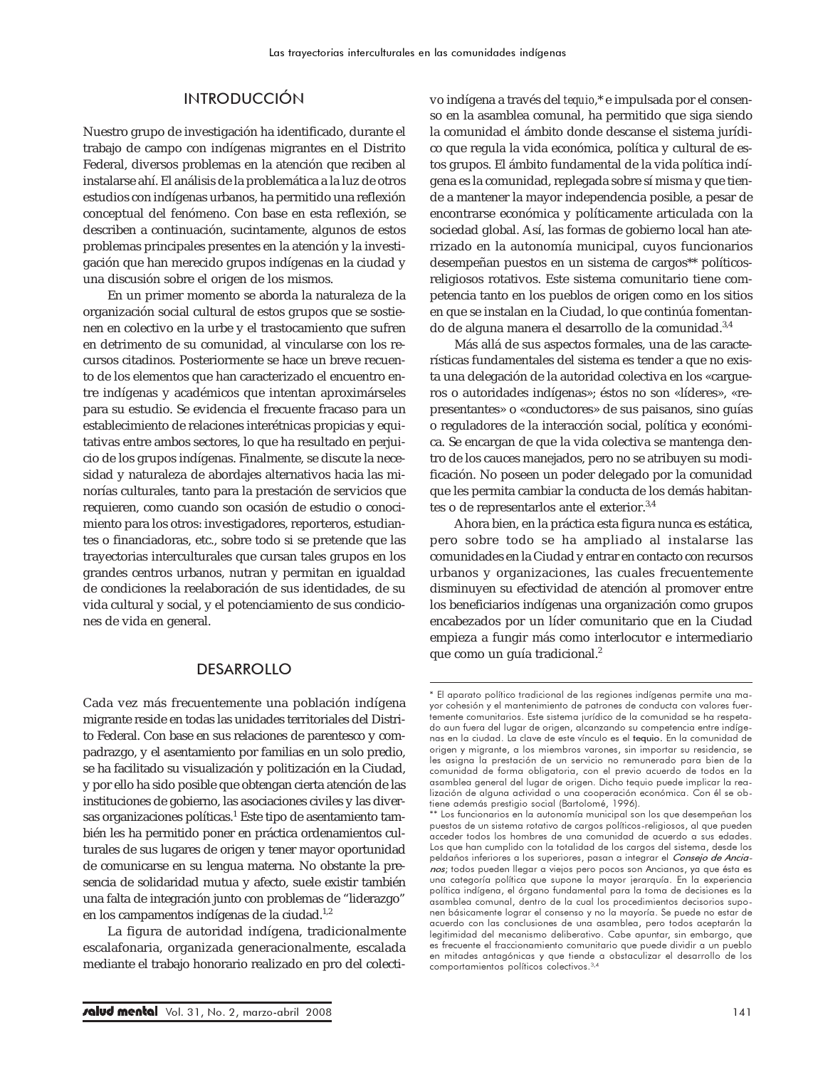## INTRODUCCIÓN

Nuestro grupo de investigación ha identificado, durante el trabajo de campo con indígenas migrantes en el Distrito Federal, diversos problemas en la atención que reciben al instalarse ahí. El análisis de la problemática a la luz de otros estudios con indígenas urbanos, ha permitido una reflexión conceptual del fenómeno. Con base en esta reflexión, se describen a continuación, sucintamente, algunos de estos problemas principales presentes en la atención y la investigación que han merecido grupos indígenas en la ciudad y una discusión sobre el origen de los mismos.

En un primer momento se aborda la naturaleza de la organización social cultural de estos grupos que se sostienen en colectivo en la urbe y el trastocamiento que sufren en detrimento de su comunidad, al vincularse con los recursos citadinos. Posteriormente se hace un breve recuento de los elementos que han caracterizado el encuentro entre indígenas y académicos que intentan aproximárseles para su estudio. Se evidencia el frecuente fracaso para un establecimiento de relaciones interétnicas propicias y equitativas entre ambos sectores, lo que ha resultado en perjuicio de los grupos indígenas. Finalmente, se discute la necesidad y naturaleza de abordajes alternativos hacia las minorías culturales, tanto para la prestación de servicios que requieren, como cuando son ocasión de estudio o conocimiento para los otros: investigadores, reporteros, estudiantes o financiadoras, etc., sobre todo si se pretende que las trayectorias interculturales que cursan tales grupos en los grandes centros urbanos, nutran y permitan en igualdad de condiciones la reelaboración de sus identidades, de su vida cultural y social, y el potenciamiento de sus condiciones de vida en general.

## DESARROLLO

Cada vez más frecuentemente una población indígena migrante reside en todas las unidades territoriales del Distrito Federal. Con base en sus relaciones de parentesco y compadrazgo, y el asentamiento por familias en un solo predio, se ha facilitado su visualización y politización en la Ciudad, y por ello ha sido posible que obtengan cierta atención de las instituciones de gobierno, las asociaciones civiles y las diversas organizaciones políticas.<sup>1</sup> Este tipo de asentamiento también les ha permitido poner en práctica ordenamientos culturales de sus lugares de origen y tener mayor oportunidad de comunicarse en su lengua materna. No obstante la presencia de solidaridad mutua y afecto, suele existir también una falta de integración junto con problemas de "liderazgo" en los campamentos indígenas de la ciudad.<sup>1,2</sup>

La figura de autoridad indígena, tradicionalmente escalafonaria, organizada generacionalmente, escalada mediante el trabajo honorario realizado en pro del colectivo indígena a través del *tequio*,\* e impulsada por el consenso en la asamblea comunal, ha permitido que siga siendo la comunidad el ámbito donde descanse el sistema jurídico que regula la vida económica, política y cultural de estos grupos. El ámbito fundamental de la vida política indígena es la comunidad, replegada sobre sí misma y que tiende a mantener la mayor independencia posible, a pesar de encontrarse económica y políticamente articulada con la sociedad global. Así, las formas de gobierno local han aterrizado en la autonomía municipal, cuyos funcionarios desempeñan puestos en un sistema de cargos\*\* políticosreligiosos rotativos. Este sistema comunitario tiene competencia tanto en los pueblos de origen como en los sitios en que se instalan en la Ciudad, lo que continúa fomentando de alguna manera el desarrollo de la comunidad.<sup>3,4</sup>

Más allá de sus aspectos formales, una de las características fundamentales del sistema es tender a que no exista una delegación de la autoridad colectiva en los «cargueros o autoridades indígenas»; éstos no son «líderes», «representantes» o «conductores» de sus paisanos, sino guías o reguladores de la interacción social, política y económica. Se encargan de que la vida colectiva se mantenga dentro de los cauces manejados, pero no se atribuyen su modificación. No poseen un poder delegado por la comunidad que les permita cambiar la conducta de los demás habitantes o de representarlos ante el exterior.3,4

Ahora bien, en la práctica esta figura nunca es estática, pero sobre todo se ha ampliado al instalarse las comunidades en la Ciudad y entrar en contacto con recursos urbanos y organizaciones, las cuales frecuentemente disminuyen su efectividad de atención al promover entre los beneficiarios indígenas una organización como grupos encabezados por un líder comunitario que en la Ciudad empieza a fungir más como interlocutor e intermediario que como un guía tradicional.<sup>2</sup>

<sup>\*</sup> El aparato político tradicional de las regiones indígenas permite una mayor cohesión y el mantenimiento de patrones de conducta con valores fuertemente comunitarios. Este sistema jurídico de la comunidad se ha respetado aun fuera del lugar de origen, alcanzando su competencia entre indígenas en la ciudad. La clave de este vínculo es el tequio. En la comunidad de origen y migrante, a los miembros varones, sin importar su residencia, se les asigna la prestación de un servicio no remunerado para bien de comunidad de forma obligatoria, con el previo acuerdo de todos en la asamblea general del lugar de origen. Dicho tequio puede implicar la realización de alguna actividad o una cooperación económica. Con él se obtiene además prestigio social (Bartolomé, 1996).

<sup>\*\*</sup> Los funcionarios en la autonomía municipal son los que desempeñan los puestos de un sistema rotativo de cargos políticos-religiosos, al que pueden acceder todos los hombres de una comunidad de acuerdo a sus edades. Los que han cumplido con la totalidad de los cargos del sistema, desde los peldaños inferiores a los superiores, pasan a integrar el Consejo de Ancianos; todos pueden llegar a viejos pero pocos son Ancianos, ya que ésta es una categoría política que supone la mayor jerarquía. En la experiencia política indígena, el órgano fundamental para la toma de decisiones es la asamblea comunal, dentro de la cual los procedimientos decisorios suponen básicamente lograr el consenso y no la mayoría. Se puede no estar de acuerdo con las conclusiones de una asamblea, pero todos aceptarán la legitimidad del mecanismo deliberativo. Cabe apuntar, sin embargo, que es frecuente el fraccionamiento comunitario que puede dividir a un pueblo en mitades antagónicas y que tiende a obstaculizar el desarrollo de los comportamientos políticos colectivos.3,4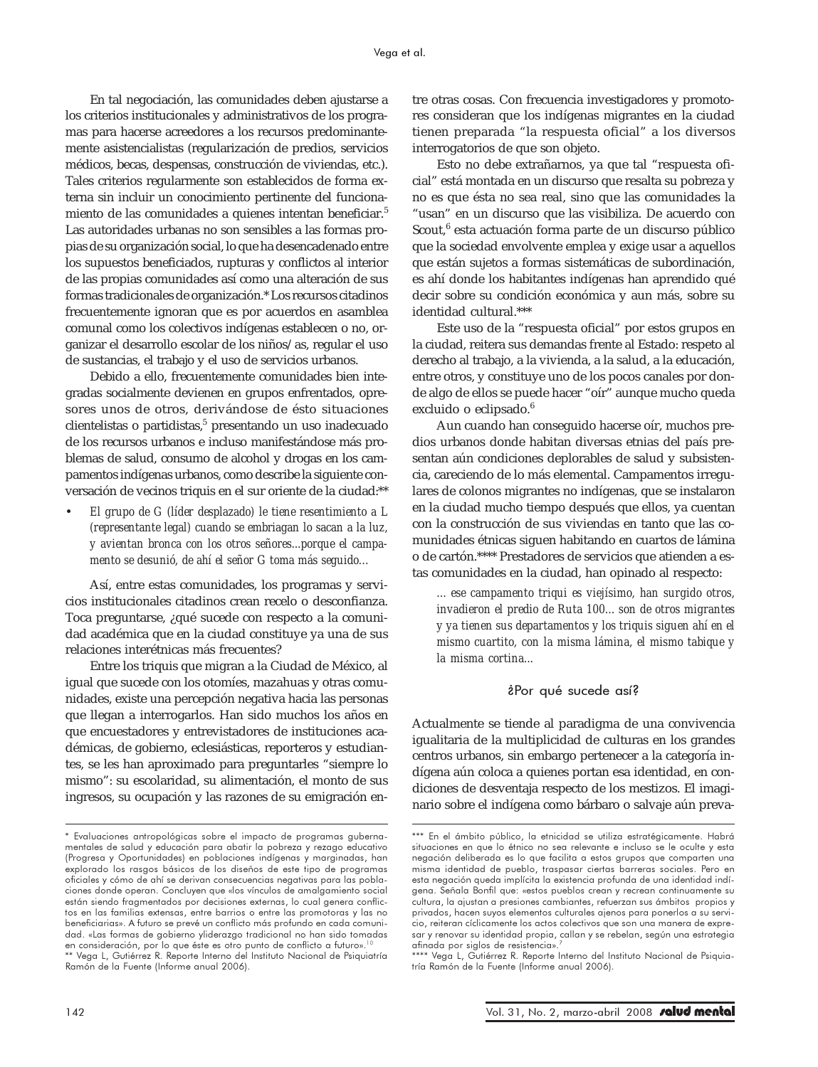En tal negociación, las comunidades deben ajustarse a los criterios institucionales y administrativos de los programas para hacerse acreedores a los recursos predominantemente asistencialistas (regularización de predios, servicios médicos, becas, despensas, construcción de viviendas, etc.). Tales criterios regularmente son establecidos de forma externa sin incluir un conocimiento pertinente del funcionamiento de las comunidades a quienes intentan beneficiar.<sup>5</sup> Las autoridades urbanas no son sensibles a las formas propias de su organización social, lo que ha desencadenado entre los supuestos beneficiados, rupturas y conflictos al interior de las propias comunidades así como una alteración de sus formas tradicionales de organización.\* Los recursos citadinos frecuentemente ignoran que es por acuerdos en asamblea comunal como los colectivos indígenas establecen o no, organizar el desarrollo escolar de los niños/as, regular el uso de sustancias, el trabajo y el uso de servicios urbanos.

Debido a ello, frecuentemente comunidades bien integradas socialmente devienen en grupos enfrentados, opresores unos de otros, derivándose de ésto situaciones clientelistas o partidistas,<sup>5</sup> presentando un uso inadecuado de los recursos urbanos e incluso manifestándose más problemas de salud, consumo de alcohol y drogas en los campamentos indígenas urbanos, como describe la siguiente conversación de vecinos triquis en el sur oriente de la ciudad:\*\*

• *El grupo de G (líder desplazado) le tiene resentimiento a L (representante legal) cuando se embriagan lo sacan a la luz, y avientan bronca con los otros señores...porque el campamento se desunió, de ahí el señor G toma más seguido…*

Así, entre estas comunidades, los programas y servicios institucionales citadinos crean recelo o desconfianza. Toca preguntarse, ¿qué sucede con respecto a la comunidad académica que en la ciudad constituye ya una de sus relaciones interétnicas más frecuentes?

Entre los triquis que migran a la Ciudad de México, al igual que sucede con los otomíes, mazahuas y otras comunidades, existe una percepción negativa hacia las personas que llegan a interrogarlos. Han sido muchos los años en que encuestadores y entrevistadores de instituciones académicas, de gobierno, eclesiásticas, reporteros y estudiantes, se les han aproximado para preguntarles "siempre lo mismo": su escolaridad, su alimentación, el monto de sus ingresos, su ocupación y las razones de su emigración entre otras cosas. Con frecuencia investigadores y promotores consideran que los indígenas migrantes en la ciudad tienen preparada "la respuesta oficial" a los diversos interrogatorios de que son objeto.

Esto no debe extrañarnos, ya que tal "respuesta oficial" está montada en un discurso que resalta su pobreza y no es que ésta no sea real, sino que las comunidades la "usan" en un discurso que las visibiliza. De acuerdo con Scout, $^6$  esta actuación forma parte de un discurso público que la sociedad envolvente emplea y exige usar a aquellos que están sujetos a formas sistemáticas de subordinación, es ahí donde los habitantes indígenas han aprendido qué decir sobre su condición económica y aun más, sobre su identidad cultural.\*\*\*

Este uso de la "respuesta oficial" por estos grupos en la ciudad, reitera sus demandas frente al Estado: respeto al derecho al trabajo, a la vivienda, a la salud, a la educación, entre otros, y constituye uno de los pocos canales por donde algo de ellos se puede hacer "oír" aunque mucho queda excluido o eclipsado.<sup>6</sup>

Aun cuando han conseguido hacerse oír, muchos predios urbanos donde habitan diversas etnias del país presentan aún condiciones deplorables de salud y subsistencia, careciendo de lo más elemental. Campamentos irregulares de colonos migrantes no indígenas, que se instalaron en la ciudad mucho tiempo después que ellos, ya cuentan con la construcción de sus viviendas en tanto que las comunidades étnicas siguen habitando en cuartos de lámina o de cartón.\*\*\*\* Prestadores de servicios que atienden a estas comunidades en la ciudad, han opinado al respecto:

*... ese campamento triqui es viejísimo, han surgido otros, invadieron el predio de Ruta 100... son de otros migrantes y ya tienen sus departamentos y los triquis siguen ahí en el mismo cuartito, con la misma lámina, el mismo tabique y la misma cortina...*

## ¿Por qué sucede así?

Actualmente se tiende al paradigma de una convivencia igualitaria de la multiplicidad de culturas en los grandes centros urbanos, sin embargo pertenecer a la categoría indígena aún coloca a quienes portan esa identidad, en condiciones de desventaja respecto de los mestizos. El imaginario sobre el indígena como bárbaro o salvaje aún preva-

<sup>\*</sup> Evaluaciones antropológicas sobre el impacto de programas gubernamentales de salud y educación para abatir la pobreza y rezago educativo (Progresa y Oportunidades) en poblaciones indígenas y marginadas, han explorado los rasgos básicos de los diseños de este tipo de programas oficiales y cómo de ahí se derivan consecuencias negativas para las poblaciones donde operan. Concluyen que «los vínculos de amalgamiento social están siendo fragmentados por decisiones externas, lo cual genera conflictos en las familias extensas, entre barrios o entre las promotoras y las no beneficiarias». A futuro se prevé un conflicto más profundo en cada comunidad. «Las formas de gobierno yliderazgo tradicional no han sido tomadas en consideración, por lo que éste es otro punto de conflicto a futuro».<sup>10</sup><br>\*\* Vega L, Gutiérrez R. Reporte Interno del Instituto Nacional de Psiquiatría Ramón de la Fuente (Informe anual 2006).

<sup>\*\*\*</sup> En el ámbito público, la etnicidad se utiliza estratégicamente. Habrá situaciones en que lo étnico no sea relevante e incluso se le oculte y esta negación deliberada es lo que facilita a estos grupos que comparten una misma identidad de pueblo, traspasar ciertas barreras sociales. Pero en esta negación queda implícita la existencia profunda de una identidad indígena. Señala Bonfil que: «estos pueblos crean y recrean continuamente su cultura, la ajustan a presiones cambiantes, refuerzan sus ámbitos propios y privados, hacen suyos elementos culturales ajenos para ponerlos a su servicio, reiteran cíclicamente los actos colectivos que son una manera de expresar y renovar su identidad propia, callan y se rebelan, según una estrategia afinada por siglos de resistencia».<sup>7</sup>

<sup>\*\*\*\*</sup> Vega L, Gutiérrez R. Reporte Interno del Instituto Nacional de Psiquiatría Ramón de la Fuente (Informe anual 2006).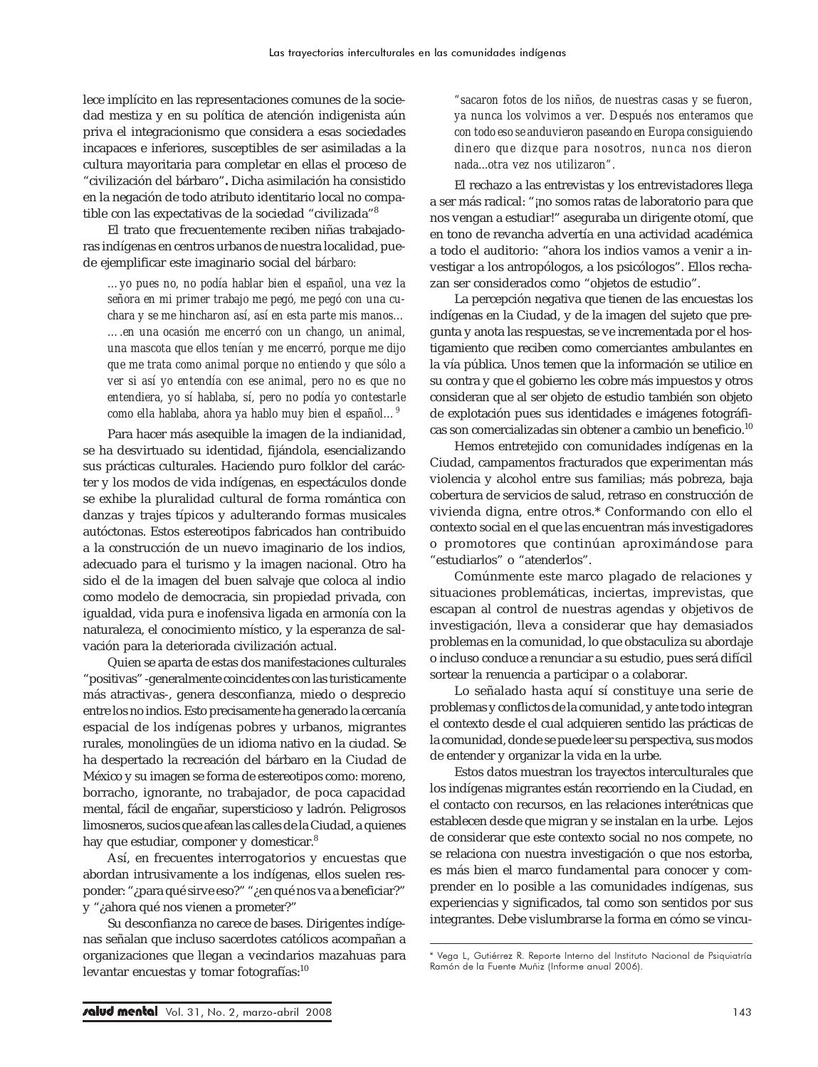lece implícito en las representaciones comunes de la sociedad mestiza y en su política de atención indigenista aún priva el integracionismo que considera a esas sociedades incapaces e inferiores, susceptibles de ser asimiladas a la cultura mayoritaria para completar en ellas el proceso de "civilización del bárbaro"*.* Dicha asimilación ha consistido en la negación de todo atributo identitario local no compatible con las expectativas de la sociedad "civilizada"8

El trato que frecuentemente reciben niñas trabajadoras indígenas en centros urbanos de nuestra localidad, puede ejemplificar este imaginario social del *bárbaro:*

*…yo pues no, no podía hablar bien el español, una vez la señora en mi primer trabajo me pegó, me pegó con una cuchara y se me hincharon así, así en esta parte mis manos… ….en una ocasión me encerró con un chango, un animal, una mascota que ellos tenían y me encerró, porque me dijo que me trata como animal porque no entiendo y que sólo a ver si así yo entendía con ese animal, pero no es que no entendiera, yo sí hablaba, sí, pero no podía yo contestarle como ella hablaba, ahora ya hablo muy bien el español…<sup>9</sup>*

Para hacer más asequible la imagen de la indianidad, se ha desvirtuado su identidad, fijándola, esencializando sus prácticas culturales. Haciendo puro folklor del carácter y los modos de vida indígenas, en espectáculos donde se exhibe la pluralidad cultural de forma romántica con danzas y trajes típicos y adulterando formas musicales autóctonas. Estos estereotipos fabricados han contribuido a la construcción de un nuevo imaginario de los indios, adecuado para el turismo y la imagen nacional. Otro ha sido el de la imagen del buen salvaje que coloca al indio como modelo de democracia, sin propiedad privada, con igualdad, vida pura e inofensiva ligada en armonía con la naturaleza, el conocimiento místico, y la esperanza de salvación para la deteriorada civilización actual.

Quien se aparta de estas dos manifestaciones culturales "positivas" -generalmente coincidentes con las turisticamente más atractivas-, genera desconfianza, miedo o desprecio entre los no indios. Esto precisamente ha generado la cercanía espacial de los indígenas pobres y urbanos, migrantes rurales, monolingües de un idioma nativo en la ciudad. Se ha despertado la recreación del bárbaro en la Ciudad de México y su imagen se forma de estereotipos como: moreno, borracho, ignorante, no trabajador, de poca capacidad mental, fácil de engañar, supersticioso y ladrón. Peligrosos limosneros, sucios que afean las calles de la Ciudad, a quienes hay que estudiar, componer y domesticar.<sup>8</sup>

Así, en frecuentes interrogatorios y encuestas que abordan intrusivamente a los indígenas, ellos suelen responder: "¿para qué sirve eso?" "¿en qué nos va a beneficiar?" y "¿ahora qué nos vienen a prometer?"

Su desconfianza no carece de bases. Dirigentes indígenas señalan que incluso sacerdotes católicos acompañan a organizaciones que llegan a vecindarios mazahuas para levantar encuestas y tomar fotografías:<sup>10</sup>

*"sacaron fotos de los niños, de nuestras casas y se fueron, ya nunca los volvimos a ver. Después nos enteramos que con todo eso se anduvieron paseando en Europa consiguiendo dinero que dizque para nosotros, nunca nos dieron nada...otra vez nos utilizaron".*

El rechazo a las entrevistas y los entrevistadores llega a ser más radical: "¡no somos ratas de laboratorio para que nos vengan a estudiar!" aseguraba un dirigente otomí, que en tono de revancha advertía en una actividad académica a todo el auditorio: "ahora los indios vamos a venir a investigar a los antropólogos, a los psicólogos". Ellos rechazan ser considerados como "objetos de estudio".

La percepción negativa que tienen de las encuestas los indígenas en la Ciudad, y de la imagen del sujeto que pregunta y anota las respuestas, se ve incrementada por el hostigamiento que reciben como comerciantes ambulantes en la vía pública. Unos temen que la información se utilice en su contra y que el gobierno les cobre más impuestos y otros consideran que al ser objeto de estudio también son objeto de explotación pues sus identidades e imágenes fotográficas son comercializadas sin obtener a cambio un beneficio.<sup>10</sup>

Hemos entretejido con comunidades indígenas en la Ciudad, campamentos fracturados que experimentan más violencia y alcohol entre sus familias; más pobreza, baja cobertura de servicios de salud, retraso en construcción de vivienda digna, entre otros.\* Conformando con ello el contexto social en el que las encuentran más investigadores o promotores que continúan aproximándose para "estudiarlos" o "atenderlos".

Comúnmente este marco plagado de relaciones y situaciones problemáticas, inciertas, imprevistas, que escapan al control de nuestras agendas y objetivos de investigación, lleva a considerar que hay demasiados problemas en la comunidad, lo que obstaculiza su abordaje o incluso conduce a renunciar a su estudio, pues será difícil sortear la renuencia a participar o a colaborar.

Lo señalado hasta aquí sí constituye una serie de problemas y conflictos de la comunidad, y ante todo integran el contexto desde el cual adquieren sentido las prácticas de la comunidad, donde se puede leer su perspectiva, sus modos de entender y organizar la vida en la urbe.

Estos datos muestran los trayectos interculturales que los indígenas migrantes están recorriendo en la Ciudad, en el contacto con recursos, en las relaciones interétnicas que establecen desde que migran y se instalan en la urbe. Lejos de considerar que este contexto social no nos compete, no se relaciona con nuestra investigación o que nos estorba, es más bien el marco fundamental para conocer y comprender en lo posible a las comunidades indígenas, sus experiencias y significados, tal como son sentidos por sus integrantes. Debe vislumbrarse la forma en cómo se vincu-

<sup>\*</sup> Vega L, Gutiérrez R. Reporte Interno del Instituto Nacional de Psiquiatría Ramón de la Fuente Muñiz (Informe anual 2006).